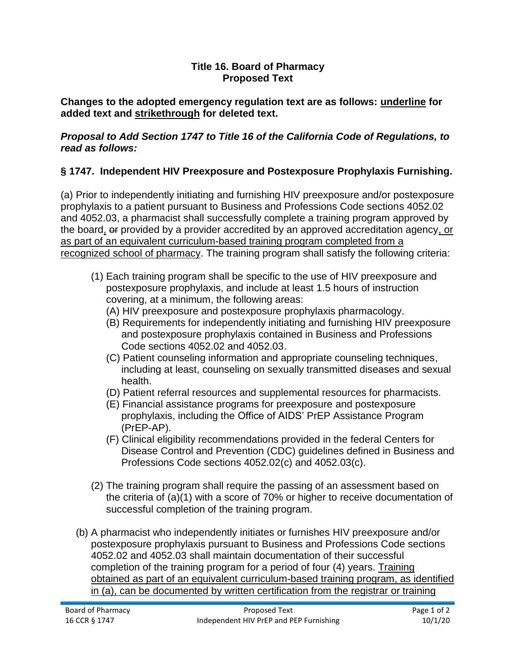## **Title 16. Board of Pharmacy Proposed Text**

**Changes to the adopted emergency regulation text are as follows: underline for added text and strikethrough for deleted text.**

## *Proposal to Add Section 1747 to Title 16 of the California Code of Regulations, to read as follows:*

## **§ 1747. Independent HIV Preexposure and Postexposure Prophylaxis Furnishing.**

(a) Prior to independently initiating and furnishing HIV preexposure and/or postexposure prophylaxis to a patient pursuant to Business and Professions Code sections 4052.02 and 4052.03, a pharmacist shall successfully complete a training program approved by the board, or provided by a provider accredited by an approved accreditation agency, or as part of an equivalent curriculum-based training program completed from a recognized school of pharmacy. The training program shall satisfy the following criteria:

- (1) Each training program shall be specific to the use of HIV preexposure and postexposure prophylaxis, and include at least 1.5 hours of instruction covering, at a minimum, the following areas:
	- (A) HIV preexposure and postexposure prophylaxis pharmacology.
	- (B) Requirements for independently initiating and furnishing HIV preexposure and postexposure prophylaxis contained in Business and Professions Code sections 4052.02 and 4052.03.
	- (C) Patient counseling information and appropriate counseling techniques, including at least, counseling on sexually transmitted diseases and sexual health.
	- (D) Patient referral resources and supplemental resources for pharmacists.
	- (E) Financial assistance programs for preexposure and postexposure prophylaxis, including the Office of AIDS' PrEP Assistance Program (PrEP-AP).
	- (F) Clinical eligibility recommendations provided in the federal Centers for Disease Control and Prevention (CDC) guidelines defined in Business and Professions Code sections 4052.02(c) and 4052.03(c).
- (2) The training program shall require the passing of an assessment based on the criteria of (a)(1) with a score of 70% or higher to receive documentation of successful completion of the training program.
- (b) A pharmacist who independently initiates or furnishes HIV preexposure and/or postexposure prophylaxis pursuant to Business and Professions Code sections 4052.02 and 4052.03 shall maintain documentation of their successful completion of the training program for a period of four (4) years. Training obtained as part of an equivalent curriculum-based training program, as identified in (a), can be documented by written certification from the registrar or training